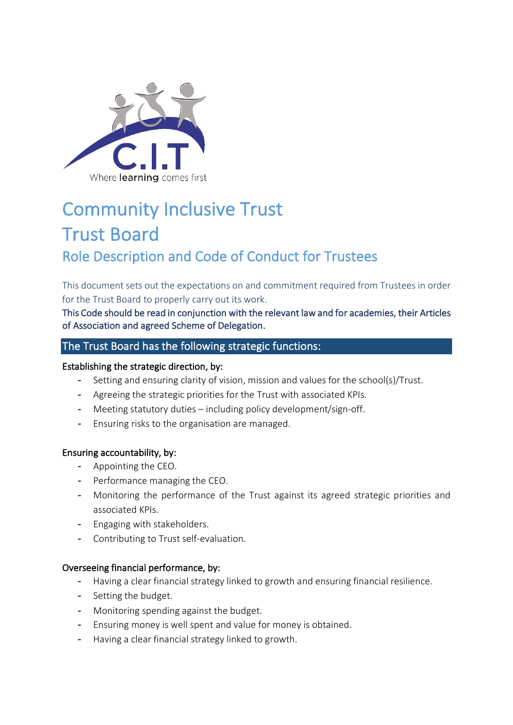

# Community Inclusive Trust Trust Board Role Description and Code of Conduct for Trustees

This document sets out the expectations on and commitment required from Trustees in order for the Trust Board to properly carry out its work.

This Code should be read in conjunction with the relevant law and for academies, their Articles of Association and agreed Scheme of Delegation.

## The Trust Board has the following strategic functions:

#### Establishing the strategic direction, by:

- Setting and ensuring clarity of vision, mission and values for the school(s)/Trust.
- Agreeing the strategic priorities for the Trust with associated KPIs.
- Meeting statutory duties including policy development/sign-off.
- Ensuring risks to the organisation are managed.

#### Ensuring accountability, by:

- Appointing the CEO.
- Performance managing the CEO.
- Monitoring the performance of the Trust against its agreed strategic priorities and associated KPIs.
- Engaging with stakeholders.
- Contributing to Trust self-evaluation.

#### Overseeing financial performance, by:

- Having a clear financial strategy linked to growth and ensuring financial resilience.
- Setting the budget.
- Monitoring spending against the budget.
- Ensuring money is well spent and value for money is obtained.
- Having a clear financial strategy linked to growth.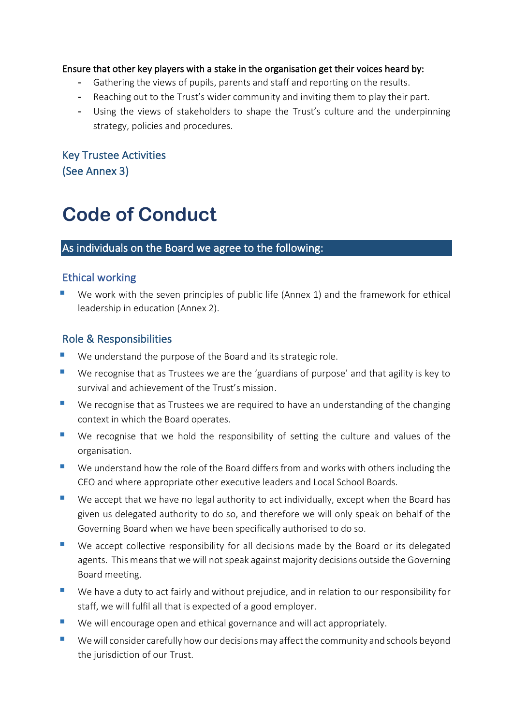## Ensure that other key players with a stake in the organisation get their voices heard by:

- Gathering the views of pupils, parents and staff and reporting on the results.
- Reaching out to the Trust's wider community and inviting them to play their part.
- Using the views of stakeholders to shape the Trust's culture and the underpinning strategy, policies and procedures.

Key Trustee Activities (See Annex 3)

# **Code of Conduct**

## As individuals on the Board we agree to the following:

## Ethical working

We work with the seven principles of public life (Annex 1) and the framework for ethical leadership in education (Annex 2).

## Role & Responsibilities

- We understand the purpose of the Board and its strategic role.
- We recognise that as Trustees we are the 'guardians of purpose' and that agility is key to survival and achievement of the Trust's mission.
- We recognise that as Trustees we are required to have an understanding of the changing context in which the Board operates.
- We recognise that we hold the responsibility of setting the culture and values of the organisation.
- We understand how the role of the Board differs from and works with others including the CEO and where appropriate other executive leaders and Local School Boards.
- We accept that we have no legal authority to act individually, except when the Board has given us delegated authority to do so, and therefore we will only speak on behalf of the Governing Board when we have been specifically authorised to do so.
- We accept collective responsibility for all decisions made by the Board or its delegated agents. This means that we will not speak against majority decisions outside the Governing Board meeting.
- We have a duty to act fairly and without prejudice, and in relation to our responsibility for staff, we will fulfil all that is expected of a good employer.
- We will encourage open and ethical governance and will act appropriately.
- We will consider carefully how our decisions may affect the community and schools beyond the jurisdiction of our Trust.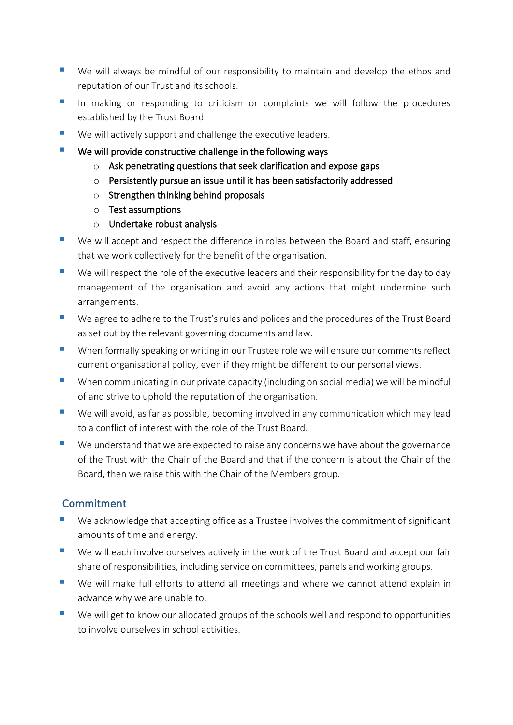- We will always be mindful of our responsibility to maintain and develop the ethos and reputation of our Trust and its schools.
- In making or responding to criticism or complaints we will follow the procedures established by the Trust Board.
- We will actively support and challenge the executive leaders.
- We will provide constructive challenge in the following ways
	- o Ask penetrating questions that seek clarification and expose gaps
	- o Persistently pursue an issue until it has been satisfactorily addressed
	- o Strengthen thinking behind proposals
	- o Test assumptions
	- o Undertake robust analysis
- We will accept and respect the difference in roles between the Board and staff, ensuring that we work collectively for the benefit of the organisation.
- We will respect the role of the executive leaders and their responsibility for the day to day management of the organisation and avoid any actions that might undermine such arrangements.
- We agree to adhere to the Trust's rules and polices and the procedures of the Trust Board as set out by the relevant governing documents and law.
- When formally speaking or writing in our Trustee role we will ensure our comments reflect current organisational policy, even if they might be different to our personal views.
- When communicating in our private capacity (including on social media) we will be mindful of and strive to uphold the reputation of the organisation.
- We will avoid, as far as possible, becoming involved in any communication which may lead to a conflict of interest with the role of the Trust Board.
- We understand that we are expected to raise any concerns we have about the governance of the Trust with the Chair of the Board and that if the concern is about the Chair of the Board, then we raise this with the Chair of the Members group.

# Commitment

- We acknowledge that accepting office as a Trustee involves the commitment of significant amounts of time and energy.
- We will each involve ourselves actively in the work of the Trust Board and accept our fair share of responsibilities, including service on committees, panels and working groups.
- We will make full efforts to attend all meetings and where we cannot attend explain in advance why we are unable to.
- We will get to know our allocated groups of the schools well and respond to opportunities to involve ourselves in school activities.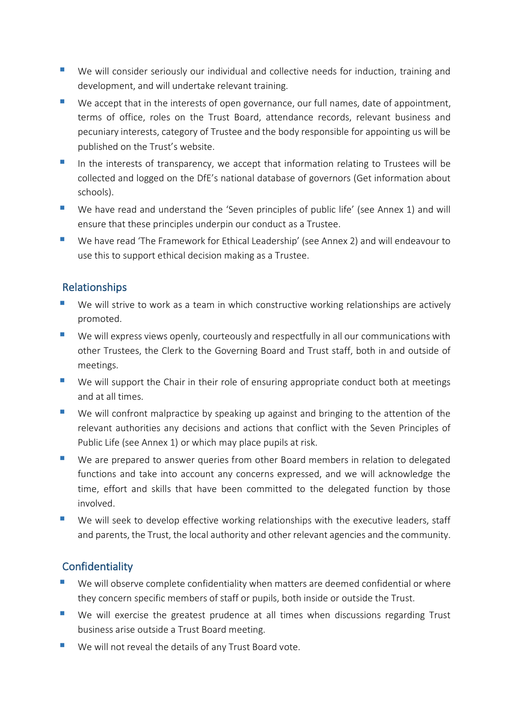- We will consider seriously our individual and collective needs for induction, training and development, and will undertake relevant training.
- We accept that in the interests of open governance, our full names, date of appointment, terms of office, roles on the Trust Board, attendance records, relevant business and pecuniary interests, category of Trustee and the body responsible for appointing us will be published on the Trust's website.
- In the interests of transparency, we accept that information relating to Trustees will be collected and logged on the DfE's national database of governors (Get information about schools).
- We have read and understand the 'Seven principles of public life' (see Annex 1) and will ensure that these principles underpin our conduct as a Trustee.
- We have read 'The Framework for Ethical Leadership' (see Annex 2) and will endeavour to use this to support ethical decision making as a Trustee.

# Relationships

- We will strive to work as a team in which constructive working relationships are actively promoted.
- We will express views openly, courteously and respectfully in all our communications with other Trustees, the Clerk to the Governing Board and Trust staff, both in and outside of meetings.
- We will support the Chair in their role of ensuring appropriate conduct both at meetings and at all times.
- We will confront malpractice by speaking up against and bringing to the attention of the relevant authorities any decisions and actions that conflict with the Seven Principles of Public Life (see Annex 1) or which may place pupils at risk.
- We are prepared to answer queries from other Board members in relation to delegated functions and take into account any concerns expressed, and we will acknowledge the time, effort and skills that have been committed to the delegated function by those involved.
- We will seek to develop effective working relationships with the executive leaders, staff and parents, the Trust, the local authority and other relevant agencies and the community.

# **Confidentiality**

- We will observe complete confidentiality when matters are deemed confidential or where they concern specific members of staff or pupils, both inside or outside the Trust.
- We will exercise the greatest prudence at all times when discussions regarding Trust business arise outside a Trust Board meeting.
- We will not reveal the details of any Trust Board vote.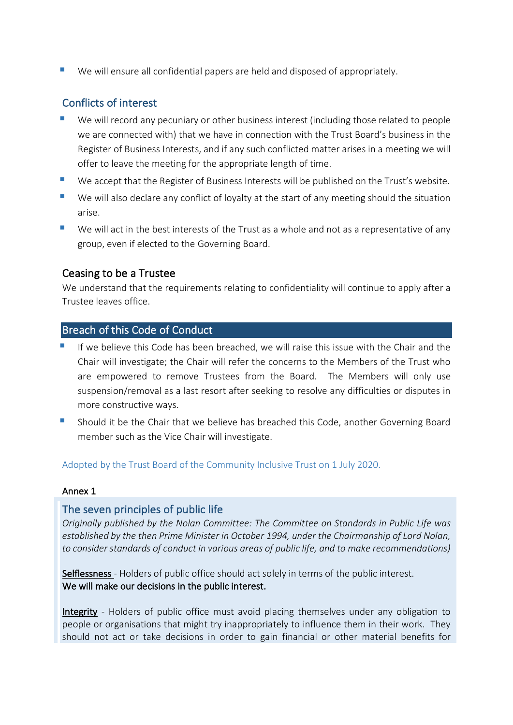■ We will ensure all confidential papers are held and disposed of appropriately.

## Conflicts of interest

- We will record any pecuniary or other business interest (including those related to people we are connected with) that we have in connection with the Trust Board's business in the Register of Business Interests, and if any such conflicted matter arises in a meeting we will offer to leave the meeting for the appropriate length of time.
- We accept that the Register of Business Interests will be published on the Trust's website.
- We will also declare any conflict of loyalty at the start of any meeting should the situation arise.
- We will act in the best interests of the Trust as a whole and not as a representative of any group, even if elected to the Governing Board.

## Ceasing to be a Trustee

We understand that the requirements relating to confidentiality will continue to apply after a Trustee leaves office.

## Breach of this Code of Conduct

- If we believe this Code has been breached, we will raise this issue with the Chair and the Chair will investigate; the Chair will refer the concerns to the Members of the Trust who are empowered to remove Trustees from the Board. The Members will only use suspension/removal as a last resort after seeking to resolve any difficulties or disputes in more constructive ways.
- § Should it be the Chair that we believe has breached this Code, another Governing Board member such as the Vice Chair will investigate.

Adopted by the Trust Board of the Community Inclusive Trust on 1 July 2020.

#### Annex 1

## The seven principles of public life

*Originally published by the Nolan Committee: The Committee on Standards in Public Life was established by the then Prime Minister in October 1994, under the Chairmanship of Lord Nolan, to consider standards of conduct in various areas of public life, and to make recommendations)*

Selflessness - Holders of public office should act solely in terms of the public interest. We will make our decisions in the public interest.

Integrity - Holders of public office must avoid placing themselves under any obligation to people or organisations that might try inappropriately to influence them in their work. They should not act or take decisions in order to gain financial or other material benefits for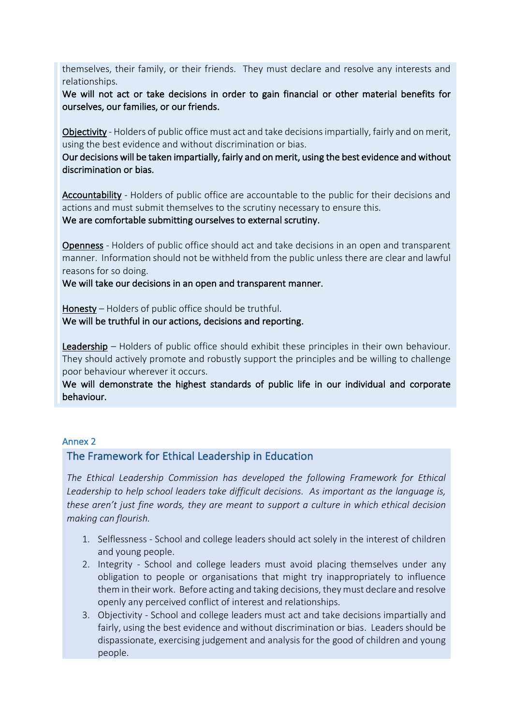themselves, their family, or their friends. They must declare and resolve any interests and relationships.

We will not act or take decisions in order to gain financial or other material benefits for ourselves, our families, or our friends.

Objectivity - Holders of public office must act and take decisions impartially, fairly and on merit, using the best evidence and without discrimination or bias.

Our decisions will be taken impartially, fairly and on merit, using the best evidence and without discrimination or bias.

Accountability - Holders of public office are accountable to the public for their decisions and actions and must submit themselves to the scrutiny necessary to ensure this.

We are comfortable submitting ourselves to external scrutiny.

Openness - Holders of public office should act and take decisions in an open and transparent manner. Information should not be withheld from the public unless there are clear and lawful reasons for so doing.

We will take our decisions in an open and transparent manner.

Honesty – Holders of public office should be truthful. We will be truthful in our actions, decisions and reporting.

Leadership – Holders of public office should exhibit these principles in their own behaviour. They should actively promote and robustly support the principles and be willing to challenge poor behaviour wherever it occurs.

We will demonstrate the highest standards of public life in our individual and corporate behaviour.

#### Annex 2

## The Framework for Ethical Leadership in Education

*The Ethical Leadership Commission has developed the following Framework for Ethical Leadership to help school leaders take difficult decisions. As important as the language is, these aren't just fine words, they are meant to support a culture in which ethical decision making can flourish.* 

- 1. Selflessness School and college leaders should act solely in the interest of children and young people.
- 2. Integrity School and college leaders must avoid placing themselves under any obligation to people or organisations that might try inappropriately to influence them in their work. Before acting and taking decisions, they must declare and resolve openly any perceived conflict of interest and relationships.
- 3. Objectivity School and college leaders must act and take decisions impartially and fairly, using the best evidence and without discrimination or bias. Leaders should be dispassionate, exercising judgement and analysis for the good of children and young people.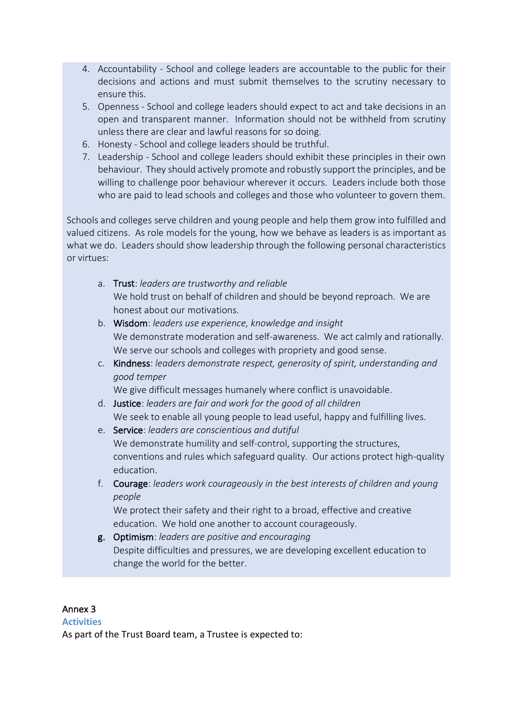- 4. Accountability School and college leaders are accountable to the public for their decisions and actions and must submit themselves to the scrutiny necessary to ensure this.
- 5. Openness School and college leaders should expect to act and take decisions in an open and transparent manner. Information should not be withheld from scrutiny unless there are clear and lawful reasons for so doing.
- 6. Honesty School and college leaders should be truthful.
- 7. Leadership School and college leaders should exhibit these principles in their own behaviour. They should actively promote and robustly support the principles, and be willing to challenge poor behaviour wherever it occurs. Leaders include both those who are paid to lead schools and colleges and those who volunteer to govern them.

Schools and colleges serve children and young people and help them grow into fulfilled and valued citizens. As role models for the young, how we behave as leaders is as important as what we do. Leaders should show leadership through the following personal characteristics or virtues:

- a. Trust: *leaders are trustworthy and reliable*  We hold trust on behalf of children and should be beyond reproach. We are honest about our motivations.
- b. Wisdom: *leaders use experience, knowledge and insight*  We demonstrate moderation and self-awareness. We act calmly and rationally. We serve our schools and colleges with propriety and good sense.
- c. Kindness: *leaders demonstrate respect, generosity of spirit, understanding and good temper*

We give difficult messages humanely where conflict is unavoidable.

- d. Justice: *leaders are fair and work for the good of all children*  We seek to enable all young people to lead useful, happy and fulfilling lives.
- e. Service: *leaders are conscientious and dutiful*  We demonstrate humility and self-control, supporting the structures, conventions and rules which safeguard quality. Our actions protect high-quality education.
- f. Courage: *leaders work courageously in the best interests of children and young people*

We protect their safety and their right to a broad, effective and creative education. We hold one another to account courageously.

g. Optimism: *leaders are positive and encouraging*  Despite difficulties and pressures, we are developing excellent education to change the world for the better.

## Annex 3

## **Activities**

As part of the Trust Board team, a Trustee is expected to: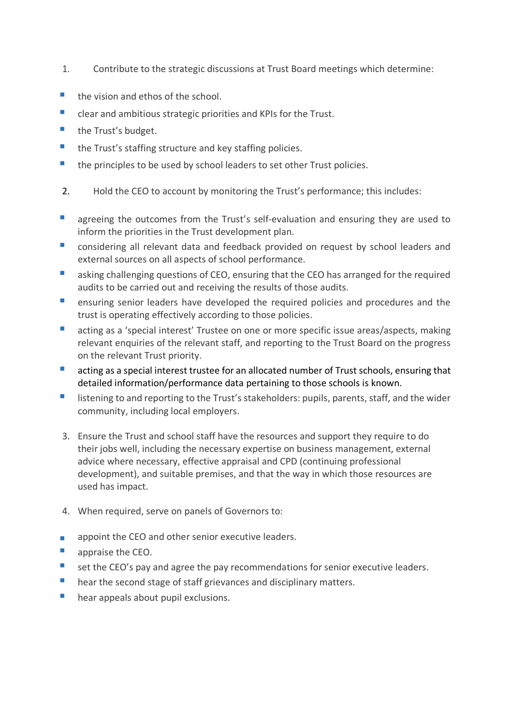- 1. Contribute to the strategic discussions at Trust Board meetings which determine:
- $\blacksquare$  the vision and ethos of the school.
- clear and ambitious strategic priorities and KPIs for the Trust.
- the Trust's budget.
- the Trust's staffing structure and key staffing policies.
- the principles to be used by school leaders to set other Trust policies.
- 2. Hold the CEO to account by monitoring the Trust's performance; this includes:
- agreeing the outcomes from the Trust's self-evaluation and ensuring they are used to inform the priorities in the Trust development plan.
- considering all relevant data and feedback provided on request by school leaders and external sources on all aspects of school performance.
- asking challenging questions of CEO, ensuring that the CEO has arranged for the required audits to be carried out and receiving the results of those audits.
- ensuring senior leaders have developed the required policies and procedures and the trust is operating effectively according to those policies.
- acting as a 'special interest' Trustee on one or more specific issue areas/aspects, making relevant enquiries of the relevant staff, and reporting to the Trust Board on the progress on the relevant Trust priority.
- acting as a special interest trustee for an allocated number of Trust schools, ensuring that detailed information/performance data pertaining to those schools is known.
- listening to and reporting to the Trust's stakeholders: pupils, parents, staff, and the wider community, including local employers.
- 3. Ensure the Trust and school staff have the resources and support they require to do their jobs well, including the necessary expertise on business management, external advice where necessary, effective appraisal and CPD (continuing professional development), and suitable premises, and that the way in which those resources are used has impact.
- 4. When required, serve on panels of Governors to:
- appoint the CEO and other senior executive leaders.<br>■ approise the CEO
- § appraise the CEO.
- set the CEO's pay and agree the pay recommendations for senior executive leaders.
- hear the second stage of staff grievances and disciplinary matters.
- **•** hear appeals about pupil exclusions.